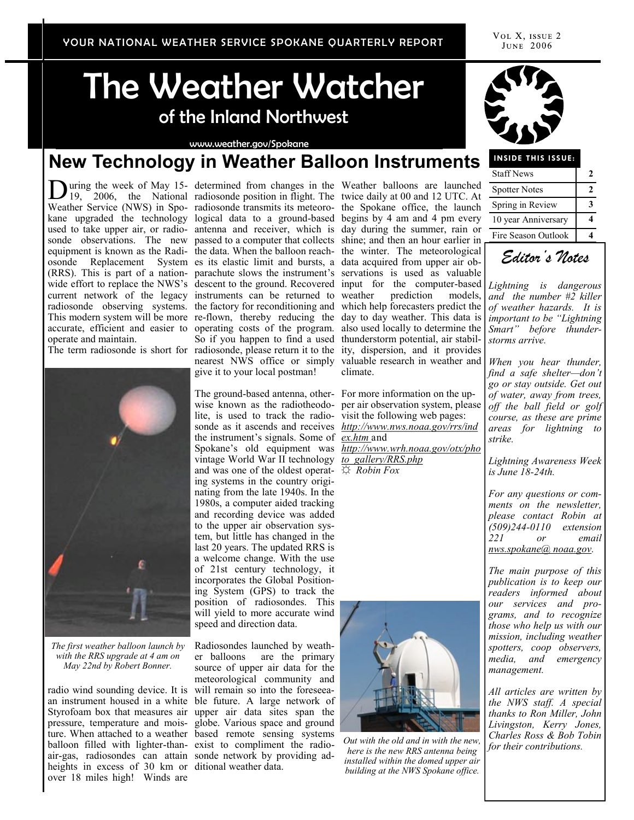# The Weather Watcher of the Inland Northwest

#### www.weather.gov/Spokane

# **New Technology in Weather Balloon Instruments**

During the week of May 15- determined from changes in the Weather balloons are launched<br>19, 2006, the National radiosonde position in flight. The twice daily at 00 and 12 UTC. At Weather Service (NWS) in Spo-radiosonde transmits its meteoro-the Spokane office, the launch kane upgraded the technology logical data to a ground-based begins by 4 am and 4 pm every used to take upper air, or radio-antenna and receiver, which is day during the summer, rain or sonde observations. The new passed to a computer that collects shine; and then an hour earlier in equipment is known as the Radi-the data. When the balloon reach-the winter. The meteorological osonde Replacement System es its elastic limit and bursts, a data acquired from upper air ob-(RRS). This is part of a nation-parachute slows the instrument's servations is used as valuable wide effort to replace the NWS's descent to the ground. Recovered input for the computer-based current network of the legacy instruments can be returned to weather prediction models, radiosonde observing systems. the factory for reconditioning and which help forecasters predict the This modern system will be more re-flown, thereby reducing the day to day weather. This data is accurate, efficient and easier to operating costs of the program. also used locally to determine the operate and maintain.



*The first weather balloon launch by with the RRS upgrade at 4 am on May 22nd by Robert Bonner.*

an instrument housed in a white ble future. A large network of Styrofoam box that measures air upper air data sites span the pressure, temperature and mois-globe. Various space and ground ture. When attached to a weather based remote sensing systems balloon filled with lighter-than-exist to compliment the radioair-gas, radiosondes can attain sonde network by providing adheights in excess of 30 km or ditional weather data. over 18 miles high! Winds are

So if you happen to find a used thunderstorm potential, air stabilgive it to your local postman!

The ground-based antenna, other-For more information on the upwise known as the radiotheodo-per air observation system, please lite, is used to track the radio-visit the following web pages: sonde as it ascends and receives *http://www.nws.noaa.gov/rrs/ind* the instrument's signals. Some of *ex.htm* and Spokane's old equipment was *http://www.wrh.noaa.gov/otx/pho* vintage World War II technology *to\_gallery/RRS.php*  and was one of the oldest operat-☼ *Robin Fox* ing systems in the country originating from the late 1940s. In the 1980s, a computer aided tracking and recording device was added to the upper air observation system, but little has changed in the last 20 years. The updated RRS is a welcome change. With the use of 21st century technology, it incorporates the Global Positioning System (GPS) to track the position of radiosondes. This will yield to more accurate wind speed and direction data.

radio wind sounding device. It is will remain so into the foreseea-Radiosondes launched by weather balloons are the primary source of upper air data for the meteorological community and

19, 2006, the National radiosonde position in flight. The twice daily at 00 and 12 UTC. At The term radiosonde is short for radiosonde, please return it to the ity, dispersion, and it provides nearest NWS office or simply valuable research in weather and climate.



*Out with the old and in with the new, here is the new RRS antenna being installed within the domed upper air building at the NWS Spokane office.* 



#### **INSIDE THIS ISSUE:**

| <b>Staff News</b>    | 2 |
|----------------------|---|
| <b>Spotter Notes</b> | 2 |
| Spring in Review     | 3 |
| 10 year Anniversary  |   |
| Fire Season Outlook  |   |

*Editor's Notes*

*Lightning is dangerous and the number #2 killer of weather hazards. It is important to be "Lightning Smart" before thunderstorms arrive.* 

*When you hear thunder, find a safe shelter—don't go or stay outside. Get out of water, away from trees, off the ball field or golf course, as these are prime areas for lightning to strike.* 

*Lightning Awareness Week is June 18-24th.* 

*For any questions or comments on the newsletter, please contact Robin at (509)244-0110 extension 221 or email nws.spokane@ noaa.gov.*

*The main purpose of this publication is to keep our readers informed about our services and programs, and to recognize those who help us with our mission, including weather spotters, coop observers, media, and emergency management.* 

*All articles are written by the NWS staff. A special thanks to Ron Miller, John Livingston, Kerry Jones, Charles Ross & Bob Tobin for their contributions.*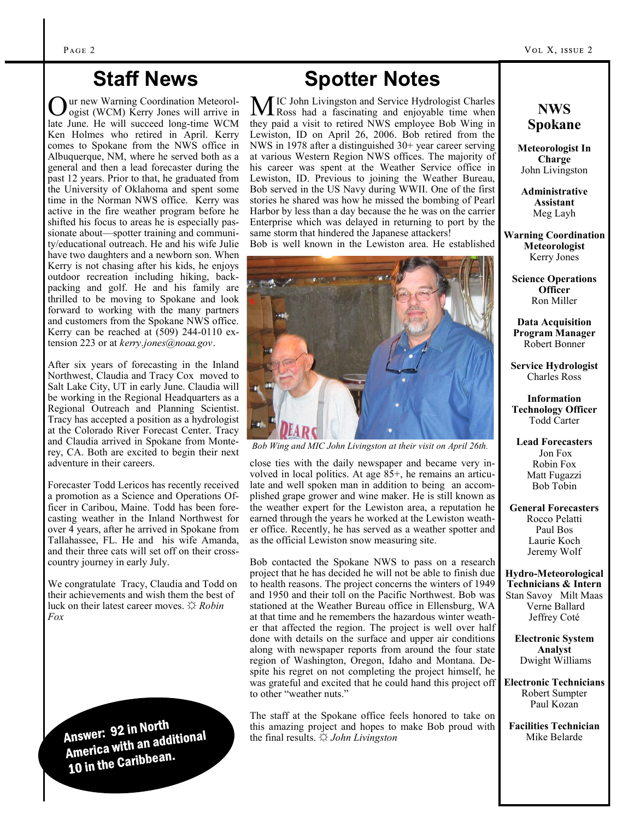VOL X. ISSUE 2

#### Page 2

## **Staff News**

Our new Warning Coordination Meteorol-<br>
ogist (WCM) Kerry Jones will arrive in ur new Warning Coordination Meteorollate June. He will succeed long-time WCM Ken Holmes who retired in April. Kerry comes to Spokane from the NWS office in Albuquerque, NM, where he served both as a general and then a lead forecaster during the past 12 years. Prior to that, he graduated from the University of Oklahoma and spent some time in the Norman NWS office. Kerry was active in the fire weather program before he shifted his focus to areas he is especially passionate about—spotter training and community/educational outreach. He and his wife Julie have two daughters and a newborn son. When Kerry is not chasing after his kids, he enjoys outdoor recreation including hiking, backpacking and golf. He and his family are thrilled to be moving to Spokane and look forward to working with the many partners and customers from the Spokane NWS office. Kerry can be reached at (509) 244-0110 extension 223 or at *kerry.jones@noaa.gov*.

After six years of forecasting in the Inland Northwest, Claudia and Tracy Cox moved to Salt Lake City, UT in early June. Claudia will be working in the Regional Headquarters as a Regional Outreach and Planning Scientist. Tracy has accepted a position as a hydrologist at the Colorado River Forecast Center. Tracy and Claudia arrived in Spokane from Monterey, CA. Both are excited to begin their next adventure in their careers.

Forecaster Todd Lericos has recently received a promotion as a Science and Operations Officer in Caribou, Maine. Todd has been forecasting weather in the Inland Northwest for over 4 years, after he arrived in Spokane from Tallahassee, FL. He and his wife Amanda, and their three cats will set off on their crosscountry journey in early July.

We congratulate Tracy, Claudia and Todd on their achievements and wish them the best of luck on their latest career moves. ☼ *Robin Fox* 

Answer: 92 in North Answer: 92 in Norum<br>America with an additional<br>America with an additional America with an one<br>10 in the Caribbean.

# **Spotter Notes**

MIC John Livingston and Service Hydrologist Charles Ross had a fascinating and enjoyable time when they paid a visit to retired NWS employee Bob Wing in Lewiston, ID on April 26, 2006. Bob retired from the NWS in 1978 after a distinguished 30+ year career serving at various Western Region NWS offices. The majority of his career was spent at the Weather Service office in Lewiston, ID. Previous to joining the Weather Bureau, Bob served in the US Navy during WWII. One of the first stories he shared was how he missed the bombing of Pearl Harbor by less than a day because the he was on the carrier Enterprise which was delayed in returning to port by the same storm that hindered the Japanese attackers!

Bob is well known in the Lewiston area. He established



*Bob Wing and MIC John Livingston at their visit on April 26th.* 

close ties with the daily newspaper and became very involved in local politics. At age 85+, he remains an articulate and well spoken man in addition to being an accomplished grape grower and wine maker. He is still known as the weather expert for the Lewiston area, a reputation he earned through the years he worked at the Lewiston weather office. Recently, he has served as a weather spotter and as the official Lewiston snow measuring site.

Bob contacted the Spokane NWS to pass on a research project that he has decided he will not be able to finish due to health reasons. The project concerns the winters of 1949 and 1950 and their toll on the Pacific Northwest. Bob was stationed at the Weather Bureau office in Ellensburg, WA at that time and he remembers the hazardous winter weather that affected the region. The project is well over half done with details on the surface and upper air conditions along with newspaper reports from around the four state region of Washington, Oregon, Idaho and Montana. Despite his regret on not completing the project himself, he was grateful and excited that he could hand this project off to other "weather nuts."

The staff at the Spokane office feels honored to take on this amazing project and hopes to make Bob proud with the final results. ☼ *John Livingston* 

## **NWS Spokane**

**Meteorologist In Charge** John Livingston

**Administrative Assistant** Meg Layh

**Warning Coordination Meteorologist** Kerry Jones

**Science Operations Officer** Ron Miller

**Data Acquisition Program Manager** Robert Bonner

**Service Hydrologist** Charles Ross

**Information Technology Officer** Todd Carter

**Lead Forecasters** Jon Fox Robin Fox Matt Fugazzi Bob Tobin

**General Forecasters**

Rocco Pelatti Paul Bos Laurie Koch Jeremy Wolf

**Hydro-Meteorological Technicians & Intern** Stan Savoy Milt Maas Verne Ballard Jeffrey Coté

> **Electronic System Analyst** Dwight Williams

**Electronic Technicians** Robert Sumpter Paul Kozan

**Facilities Technician** Mike Belarde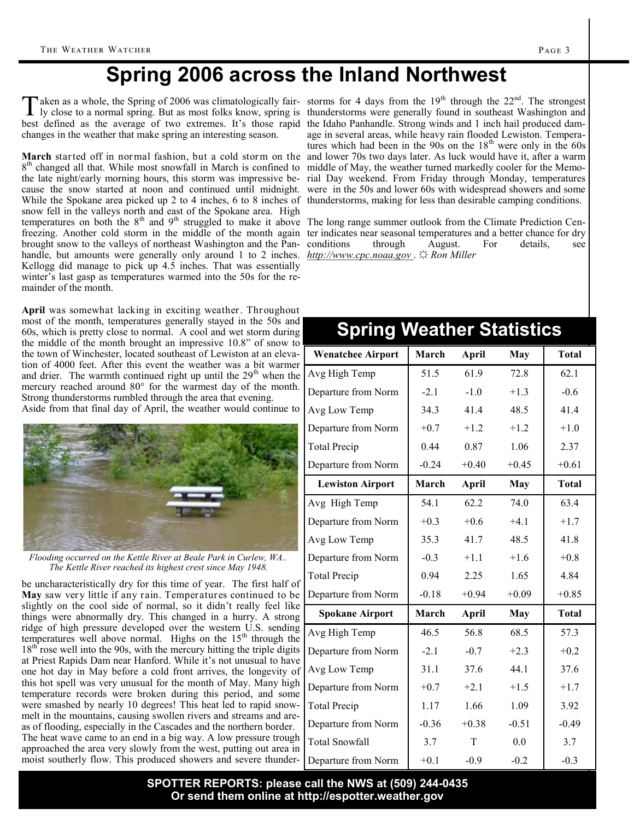# **Spring 2006 across the Inland Northwest**

best defined as the average of two extremes. It's those rapid the Idaho Panhandle. Strong winds and 1 inch hail produced damchanges in the weather that make spring an interesting season.

8<sup>th</sup> changed all that. While most snowfall in March is confined to middle of May, the weather turned markedly cooler for the Memo-While the Spokane area picked up 2 to 4 inches, 6 to 8 inches of thunderstorms, making for less than desirable camping conditions. snow fell in the valleys north and east of the Spokane area. High temperatures on both the 8<sup>th</sup> and 9<sup>th</sup> struggled to make it above The long range summer outlook from the Climate Prediction Cenfreezing. Another cold storm in the middle of the month again ter indicates near seasonal temperatures and a better chance for dry brought snow to the valleys of northeast Washington and the Pan-conditions through August. For details, see handle, but amounts were generally only around 1 to 2 inches. *http://www.cpc.noaa.gov* . ☼ *Ron Miller* Kellogg did manage to pick up 4.5 inches. That was essentially winter's last gasp as temperatures warmed into the 50s for the remainder of the month.

**April** was somewhat lacking in exciting weather. Throughout most of the month, temperatures generally stayed in the 50s and 60s, which is pretty close to normal. A cool and wet storm during the middle of the month brought an impressive 10.8" of snow to the town of Winchester, located southeast of Lewiston at an elevation of 4000 feet. After this event the weather was a bit warmer and drier. The warmth continued right up until the 29<sup>th</sup> when the mercury reached around 80° for the warmest day of the month. Strong thunderstorms rumbled through the area that evening.

Aside from that final day of April, the weather would continue to



*Flooding occurred on the Kettle River at Beale Park in Curlew, WA.. The Kettle River reached its highest crest since May 1948.*

be uncharacteristically dry for this time of year. The first half of **May** saw very little if any rain. Temperatures continued to be slightly on the cool side of normal, so it didn't really feel like things were abnormally dry. This changed in a hurry. A strong ridge of high pressure developed over the western U.S. sending temperatures well above normal. Highs on the  $15<sup>th</sup>$  through the  $18<sup>th</sup>$  rose well into the 90s, with the mercury hitting the triple digits at Priest Rapids Dam near Hanford. While it's not unusual to have one hot day in May before a cold front arrives, the longevity of this hot spell was very unusual for the month of May. Many high temperature records were broken during this period, and some were smashed by nearly 10 degrees! This heat led to rapid snowmelt in the mountains, causing swollen rivers and streams and areas of flooding, especially in the Cascades and the northern border. The heat wave came to an end in a big way. A low pressure trough approached the area very slowly from the west, putting out area in

moist southerly flow. This produced showers and severe thunder-

Taken as a whole, the Spring of 2006 was climatologically fair-storms for 4 days from the 19<sup>th</sup> through the 22<sup>nd</sup>. The strongest ly close to a normal spring. But as most folks know, spring is thunderstorms were generally aken as a whole, the Spring of 2006 was climatologically fair- storms for 4 days from the 19<sup>th</sup> through the 22<sup>nd</sup>. The strongest March started off in normal fashion, but a cold storm on the and lower 70s two days later. As luck would have it, after a warm the late night/early morning hours, this storm was impressive be-rial Day weekend. From Friday through Monday, temperatures cause the snow started at noon and continued until midnight. were in the 50s and lower 60s with widespread showers and some age in several areas, while heavy rain flooded Lewiston. Temperatures which had been in the  $90s$  on the  $18<sup>th</sup>$  were only in the  $60s$ 

| <b>Spring Weather Statistics</b> |         |              |            |              |  |  |
|----------------------------------|---------|--------------|------------|--------------|--|--|
| <b>Wenatchee Airport</b>         | March   | <b>April</b> | May        | <b>Total</b> |  |  |
| Avg High Temp                    | 51.5    | 61.9         | 72.8       | 62.1         |  |  |
| Departure from Norm              | $-2.1$  | $-1.0$       | $+1.3$     | $-0.6$       |  |  |
| Avg Low Temp                     | 34.3    | 41.4         | 48.5       | 41.4         |  |  |
| Departure from Norm              | $+0.7$  | $+1.2$       | $+1.2$     | $+1.0$       |  |  |
| <b>Total Precip</b>              | 0.44    | 0.87         | 1.06       | 2.37         |  |  |
| Departure from Norm              | $-0.24$ | $+0.40$      | $+0.45$    | $+0.61$      |  |  |
| <b>Lewiston Airport</b>          | March   | <b>April</b> | May        | <b>Total</b> |  |  |
| Avg High Temp                    | 54.1    | 62.2         | 74.0       | 63.4         |  |  |
| Departure from Norm              | $+0.3$  | $+0.6$       | $+4.1$     | $+1.7$       |  |  |
| Avg Low Temp                     | 35.3    | 41.7         | 48.5       | 41.8         |  |  |
| Departure from Norm              | $-0.3$  | $+1.1$       | $+1.6$     | $+0.8$       |  |  |
| <b>Total Precip</b>              | 0.94    | 2.25         | 1.65       | 4.84         |  |  |
| Departure from Norm              | $-0.18$ | $+0.94$      | $+0.09$    | $+0.85$      |  |  |
| <b>Spokane Airport</b>           | March   | <b>April</b> | <b>May</b> | <b>Total</b> |  |  |
| Avg High Temp                    | 46.5    | 56.8         | 68.5       | 57.3         |  |  |
| Departure from Norm              | $-2.1$  | $-0.7$       | $+2.3$     | $+0.2$       |  |  |
| Avg Low Temp                     | 31.1    | 37.6         | 44.1       | 37.6         |  |  |
| Departure from Norm              | $+0.7$  | $+2.1$       | $+1.5$     | $+1.7$       |  |  |
| <b>Total Precip</b>              | 1.17    | 1.66         | 1.09       | 3.92         |  |  |
| Departure from Norm              | $-0.36$ | $+0.38$      | $-0.51$    | $-0.49$      |  |  |
| Total Snowfall                   | 3.7     | T            | 0.0        | 3.7          |  |  |
| Departure from Norm              | $+0.1$  | $-0.9$       | $-0.2$     | $-0.3$       |  |  |

**SPOTTER REPORTS: please call the NWS at (509) 244-0435 Or send them online at http://espotter.weather.gov**